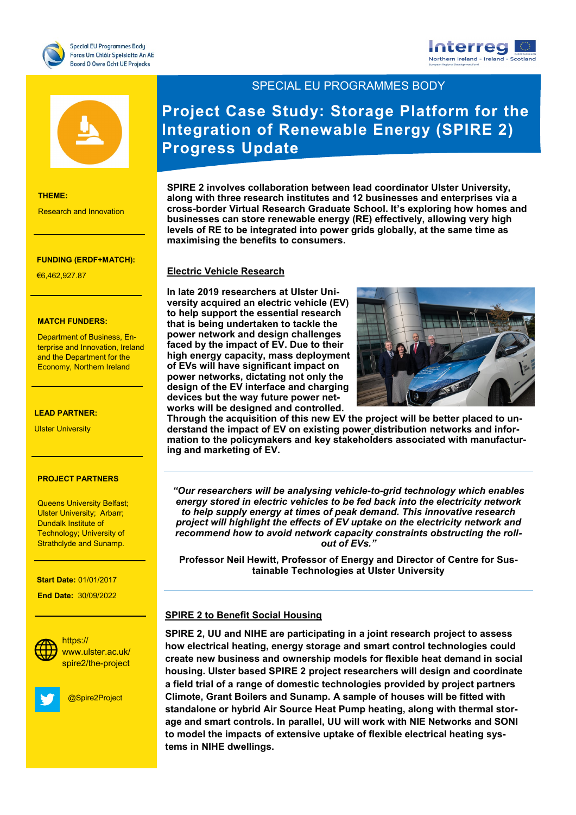





### **THEME:**

Research and Innovation

### **FUNDING (ERDF+MATCH):**

Research and Innovation

**THEME:** €6,462,927.87

### **MATCH FUNDERS:**

**Department of Business, En-**Economy, Northern Ireland terprise and Innovation, Ireland and the Department for the

€7,727,271.20

### **LEAD PARTNER:**

**LEAD University** 

### **PROJECT PARTNERS**

Queens Oniversity Benast<br>Ulster University; Arbarr; Strathclyde and Sunamp.<br>———————————————————— Queens University Belfast; Dundalk Institute of Technology; University of

### **Start Date:** 01/01/2017

 **End Date:** 30/09/2022



**Social Media:** www.ulster.ac.uk/ https:// spire2/the-project



@Spire2Project

SPECIAL EU PROGRAMMES BODY

# **Project Case Study: Storage Platform for the Integration of Renewable Energy (SPIRE 2) Progress Update**

**SPIRE 2 involves collaboration between lead coordinator Ulster University, along with three research institutes and 12 businesses and enterprises via a cross-border Virtual Research Graduate School. It's exploring how homes and businesses can store renewable energy (RE) effectively, allowing very high levels of RE to be integrated into power grids globally, at the same time as maximising the benefits to consumers.** 

# **Electric Vehicle Research**

**In late 2019 researchers at Ulster University acquired an electric vehicle (EV) to help support the essential research that is being undertaken to tackle the power network and design challenges faced by the impact of EV. Due to their high energy capacity, mass deployment of EVs will have significant impact on power networks, dictating not only the design of the EV interface and charging devices but the way future power networks will be designed and controlled.** 



**Through the acquisition of this new EV the project will be better placed to understand the impact of EV on existing power distribution networks and information to the policymakers and key stakeholders associated with manufacturing and marketing of EV.** 

*"Our researchers will be analysing vehicle-to-grid technology which enables energy stored in electric vehicles to be fed back into the electricity network to help supply energy at times of peak demand. This innovative research project will highlight the effects of EV uptake on the electricity network and recommend how to avoid network capacity constraints obstructing the rollout of EVs."*

**Professor Neil Hewitt, Professor of Energy and Director of Centre for Sustainable Technologies at Ulster University** 

# **SPIRE 2 to Benefit Social Housing**

**SPIRE 2, UU and NIHE are participating in a joint research project to assess how electrical heating, energy storage and smart control technologies could create new business and ownership models for flexible heat demand in social housing. Ulster based SPIRE 2 project researchers will design and coordinate a field trial of a range of domestic technologies provided by project partners Climote, Grant Boilers and Sunamp. A sample of houses will be fitted with standalone or hybrid Air Source Heat Pump heating, along with thermal storage and smart controls. In parallel, UU will work with NIE Networks and SONI to model the impacts of extensive uptake of flexible electrical heating systems in NIHE dwellings.**